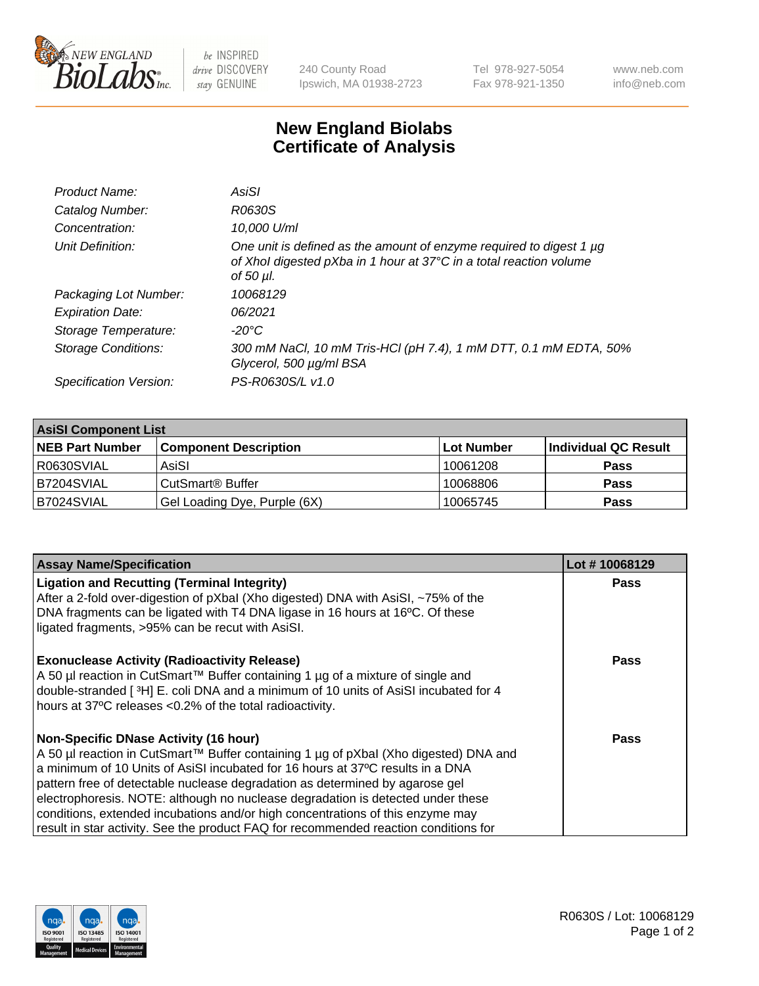

 $be$  INSPIRED drive DISCOVERY stay GENUINE

240 County Road Ipswich, MA 01938-2723 Tel 978-927-5054 Fax 978-921-1350 www.neb.com info@neb.com

## **New England Biolabs Certificate of Analysis**

| Product Name:           | AsiSI                                                                                                                                                       |
|-------------------------|-------------------------------------------------------------------------------------------------------------------------------------------------------------|
| Catalog Number:         | R0630S                                                                                                                                                      |
| Concentration:          | 10,000 U/ml                                                                                                                                                 |
| Unit Definition:        | One unit is defined as the amount of enzyme required to digest 1 µg<br>of Xhol digested pXba in 1 hour at 37°C in a total reaction volume<br>of 50 $\mu$ l. |
| Packaging Lot Number:   | 10068129                                                                                                                                                    |
| <b>Expiration Date:</b> | 06/2021                                                                                                                                                     |
| Storage Temperature:    | $-20^{\circ}$ C                                                                                                                                             |
| Storage Conditions:     | 300 mM NaCl, 10 mM Tris-HCl (pH 7.4), 1 mM DTT, 0.1 mM EDTA, 50%<br>Glycerol, 500 µg/ml BSA                                                                 |
| Specification Version:  | PS-R0630S/L v1.0                                                                                                                                            |

| <b>AsiSI Component List</b> |                              |             |                      |  |  |
|-----------------------------|------------------------------|-------------|----------------------|--|--|
| <b>NEB Part Number</b>      | <b>Component Description</b> | ∣Lot Number | Individual QC Result |  |  |
| R0630SVIAL                  | AsiSI                        | 10061208    | <b>Pass</b>          |  |  |
| B7204SVIAL                  | CutSmart® Buffer             | 10068806    | <b>Pass</b>          |  |  |
| B7024SVIAL                  | Gel Loading Dye, Purple (6X) | 10065745    | <b>Pass</b>          |  |  |

| <b>Assay Name/Specification</b>                                                      | Lot #10068129 |
|--------------------------------------------------------------------------------------|---------------|
| <b>Ligation and Recutting (Terminal Integrity)</b>                                   | Pass          |
| After a 2-fold over-digestion of pXbal (Xho digested) DNA with AsiSI, ~75% of the    |               |
| DNA fragments can be ligated with T4 DNA ligase in 16 hours at 16°C. Of these        |               |
| ligated fragments, >95% can be recut with AsiSI.                                     |               |
| <b>Exonuclease Activity (Radioactivity Release)</b>                                  | Pass          |
| A 50 µl reaction in CutSmart™ Buffer containing 1 µg of a mixture of single and      |               |
| double-stranded [3H] E. coli DNA and a minimum of 10 units of AsiSI incubated for 4  |               |
| hours at 37°C releases <0.2% of the total radioactivity.                             |               |
| <b>Non-Specific DNase Activity (16 hour)</b>                                         | <b>Pass</b>   |
| A 50 µl reaction in CutSmart™ Buffer containing 1 µg of pXbal (Xho digested) DNA and |               |
| a minimum of 10 Units of AsiSI incubated for 16 hours at 37°C results in a DNA       |               |
| pattern free of detectable nuclease degradation as determined by agarose gel         |               |
| electrophoresis. NOTE: although no nuclease degradation is detected under these      |               |
| conditions, extended incubations and/or high concentrations of this enzyme may       |               |
| result in star activity. See the product FAQ for recommended reaction conditions for |               |